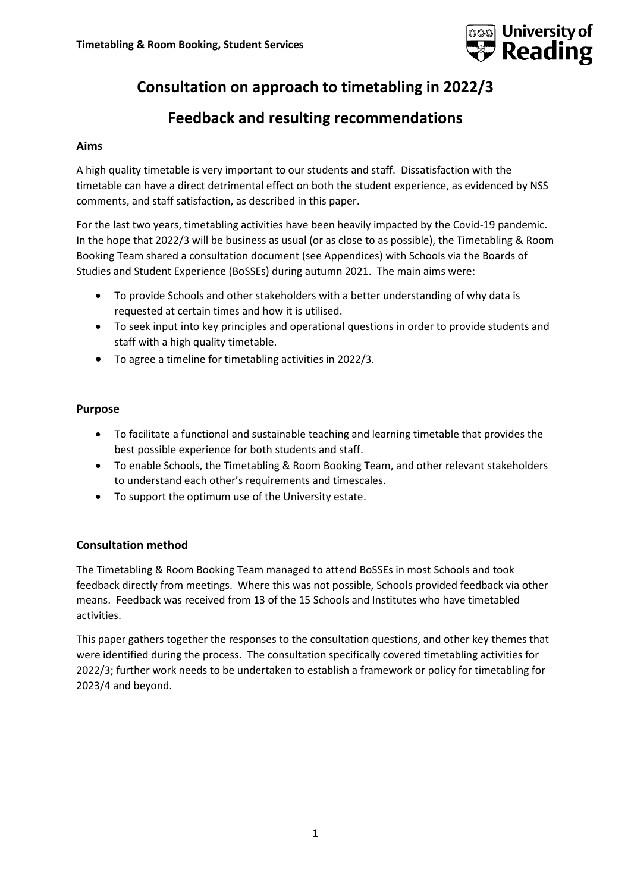

# **Consultation on approach to timetabling in 2022/3**

# **Feedback and resulting recommendations**

#### **Aims**

A high quality timetable is very important to our students and staff. Dissatisfaction with the timetable can have a direct detrimental effect on both the student experience, as evidenced by NSS comments, and staff satisfaction, as described in this paper.

For the last two years, timetabling activities have been heavily impacted by the Covid-19 pandemic. In the hope that 2022/3 will be business as usual (or as close to as possible), the Timetabling & Room Booking Team shared a consultation document (see Appendices) with Schools via the Boards of Studies and Student Experience (BoSSEs) during autumn 2021. The main aims were:

- To provide Schools and other stakeholders with a better understanding of why data is requested at certain times and how it is utilised.
- To seek input into key principles and operational questions in order to provide students and staff with a high quality timetable.
- To agree a timeline for timetabling activities in 2022/3.

## **Purpose**

- To facilitate a functional and sustainable teaching and learning timetable that provides the best possible experience for both students and staff.
- To enable Schools, the Timetabling & Room Booking Team, and other relevant stakeholders to understand each other's requirements and timescales.
- To support the optimum use of the University estate.

## **Consultation method**

The Timetabling & Room Booking Team managed to attend BoSSEs in most Schools and took feedback directly from meetings. Where this was not possible, Schools provided feedback via other means. Feedback was received from 13 of the 15 Schools and Institutes who have timetabled activities.

This paper gathers together the responses to the consultation questions, and other key themes that were identified during the process. The consultation specifically covered timetabling activities for 2022/3; further work needs to be undertaken to establish a framework or policy for timetabling for 2023/4 and beyond.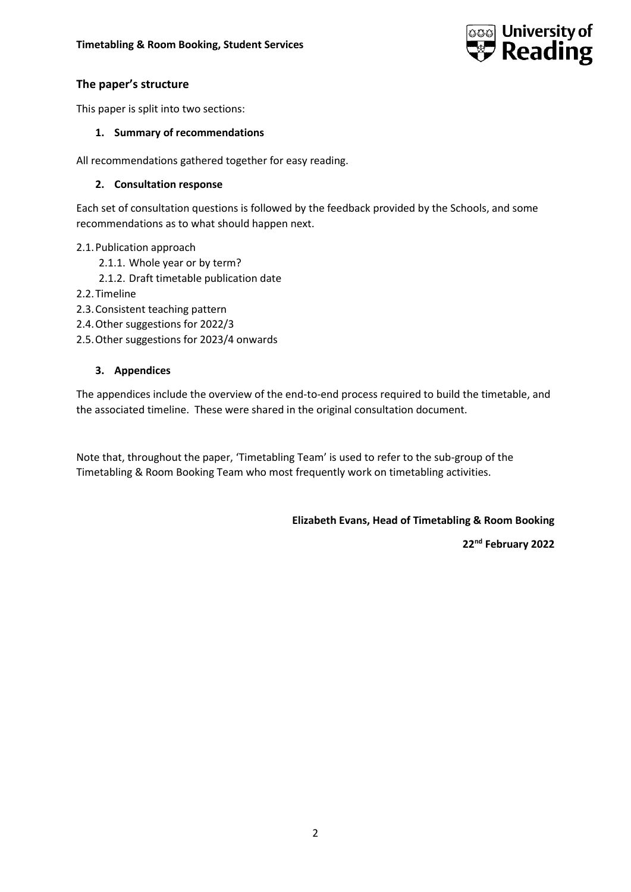

## **The paper's structure**

This paper is split into two sections:

#### **1. Summary of recommendations**

All recommendations gathered together for easy reading.

#### **2. Consultation response**

Each set of consultation questions is followed by the feedback provided by the Schools, and some recommendations as to what should happen next.

#### 2.1.Publication approach

- 2.1.1. Whole year or by term?
- 2.1.2. Draft timetable publication date
- 2.2.Timeline
- 2.3.Consistent teaching pattern
- 2.4.Other suggestions for 2022/3
- 2.5.Other suggestions for 2023/4 onwards

## **3. Appendices**

The appendices include the overview of the end-to-end process required to build the timetable, and the associated timeline. These were shared in the original consultation document.

Note that, throughout the paper, 'Timetabling Team' is used to refer to the sub-group of the Timetabling & Room Booking Team who most frequently work on timetabling activities.

**Elizabeth Evans, Head of Timetabling & Room Booking**

**22nd February 2022**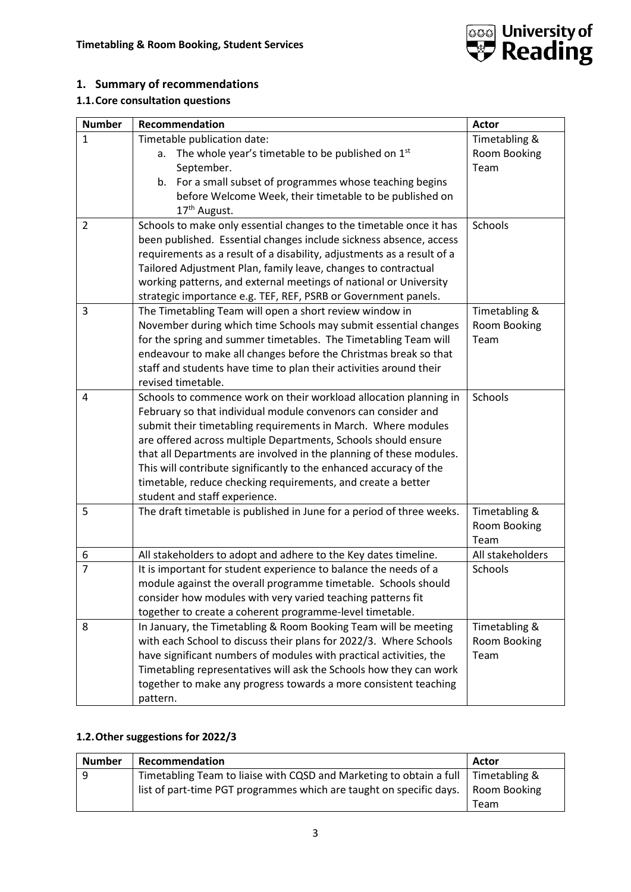

# **1. Summary of recommendations**

# **1.1.Core consultation questions**

| <b>Number</b>  | Recommendation                                                         | <b>Actor</b>     |
|----------------|------------------------------------------------------------------------|------------------|
| $\mathbf{1}$   | Timetable publication date:                                            | Timetabling &    |
|                | The whole year's timetable to be published on 1st<br>а.                | Room Booking     |
|                | September.                                                             | Team             |
|                | b. For a small subset of programmes whose teaching begins              |                  |
|                | before Welcome Week, their timetable to be published on                |                  |
|                | 17 <sup>th</sup> August.                                               |                  |
| $\overline{2}$ | Schools to make only essential changes to the timetable once it has    | Schools          |
|                | been published. Essential changes include sickness absence, access     |                  |
|                | requirements as a result of a disability, adjustments as a result of a |                  |
|                | Tailored Adjustment Plan, family leave, changes to contractual         |                  |
|                | working patterns, and external meetings of national or University      |                  |
|                | strategic importance e.g. TEF, REF, PSRB or Government panels.         |                  |
| 3              | The Timetabling Team will open a short review window in                | Timetabling &    |
|                | November during which time Schools may submit essential changes        | Room Booking     |
|                | for the spring and summer timetables. The Timetabling Team will        | Team             |
|                | endeavour to make all changes before the Christmas break so that       |                  |
|                | staff and students have time to plan their activities around their     |                  |
|                | revised timetable.                                                     |                  |
| 4              | Schools to commence work on their workload allocation planning in      | Schools          |
|                | February so that individual module convenors can consider and          |                  |
|                | submit their timetabling requirements in March. Where modules          |                  |
|                | are offered across multiple Departments, Schools should ensure         |                  |
|                | that all Departments are involved in the planning of these modules.    |                  |
|                | This will contribute significantly to the enhanced accuracy of the     |                  |
|                | timetable, reduce checking requirements, and create a better           |                  |
|                | student and staff experience.                                          |                  |
| 5              | The draft timetable is published in June for a period of three weeks.  | Timetabling &    |
|                |                                                                        | Room Booking     |
|                |                                                                        | Team             |
| 6              | All stakeholders to adopt and adhere to the Key dates timeline.        | All stakeholders |
| $\overline{7}$ | It is important for student experience to balance the needs of a       | Schools          |
|                | module against the overall programme timetable. Schools should         |                  |
|                | consider how modules with very varied teaching patterns fit            |                  |
|                | together to create a coherent programme-level timetable.               |                  |
| 8              | In January, the Timetabling & Room Booking Team will be meeting        | Timetabling &    |
|                | with each School to discuss their plans for 2022/3. Where Schools      | Room Booking     |
|                | have significant numbers of modules with practical activities, the     | Team             |
|                | Timetabling representatives will ask the Schools how they can work     |                  |
|                | together to make any progress towards a more consistent teaching       |                  |
|                | pattern.                                                               |                  |

## **1.2.Other suggestions for 2022/3**

| <b>Number</b> | Recommendation                                                                     | Actor         |
|---------------|------------------------------------------------------------------------------------|---------------|
| 9             | Timetabling Team to liaise with CQSD and Marketing to obtain a full                | Timetabling & |
|               | list of part-time PGT programmes which are taught on specific days.   Room Booking |               |
|               |                                                                                    | Team          |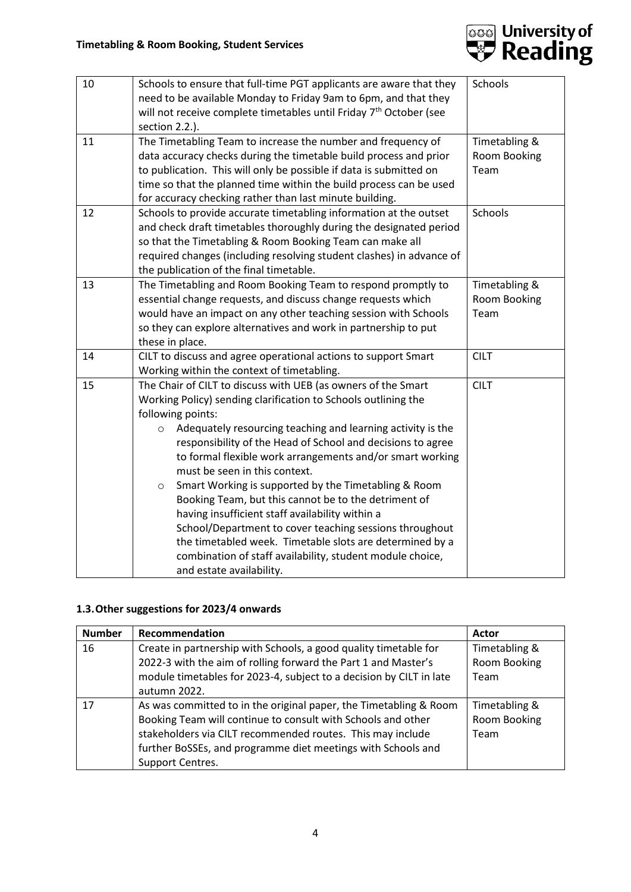

| 10 | Schools to ensure that full-time PGT applicants are aware that they                                     | Schools       |
|----|---------------------------------------------------------------------------------------------------------|---------------|
|    | need to be available Monday to Friday 9am to 6pm, and that they                                         |               |
|    | will not receive complete timetables until Friday 7 <sup>th</sup> October (see                          |               |
|    | section 2.2.).                                                                                          |               |
| 11 | The Timetabling Team to increase the number and frequency of                                            | Timetabling & |
|    | data accuracy checks during the timetable build process and prior                                       | Room Booking  |
|    | to publication. This will only be possible if data is submitted on                                      | Team          |
|    | time so that the planned time within the build process can be used                                      |               |
|    | for accuracy checking rather than last minute building.                                                 |               |
| 12 | Schools to provide accurate timetabling information at the outset                                       | Schools       |
|    | and check draft timetables thoroughly during the designated period                                      |               |
|    | so that the Timetabling & Room Booking Team can make all                                                |               |
|    | required changes (including resolving student clashes) in advance of                                    |               |
|    | the publication of the final timetable.                                                                 |               |
| 13 | The Timetabling and Room Booking Team to respond promptly to                                            | Timetabling & |
|    | essential change requests, and discuss change requests which                                            | Room Booking  |
|    | would have an impact on any other teaching session with Schools                                         | Team          |
|    | so they can explore alternatives and work in partnership to put                                         |               |
|    | these in place.                                                                                         |               |
| 14 | CILT to discuss and agree operational actions to support Smart                                          | <b>CILT</b>   |
|    | Working within the context of timetabling.                                                              |               |
| 15 | The Chair of CILT to discuss with UEB (as owners of the Smart                                           | <b>CILT</b>   |
|    | Working Policy) sending clarification to Schools outlining the                                          |               |
|    | following points:                                                                                       |               |
|    | Adequately resourcing teaching and learning activity is the<br>$\circ$                                  |               |
|    | responsibility of the Head of School and decisions to agree                                             |               |
|    | to formal flexible work arrangements and/or smart working                                               |               |
|    | must be seen in this context.                                                                           |               |
|    | Smart Working is supported by the Timetabling & Room<br>$\circ$                                         |               |
|    | Booking Team, but this cannot be to the detriment of<br>having insufficient staff availability within a |               |
|    | School/Department to cover teaching sessions throughout                                                 |               |
|    | the timetabled week. Timetable slots are determined by a                                                |               |
|    | combination of staff availability, student module choice,                                               |               |
|    | and estate availability.                                                                                |               |

## **1.3.Other suggestions for 2023/4 onwards**

| <b>Number</b> | Recommendation                                                                                                                                                                                                                                                                      | Actor                                 |
|---------------|-------------------------------------------------------------------------------------------------------------------------------------------------------------------------------------------------------------------------------------------------------------------------------------|---------------------------------------|
| 16            | Create in partnership with Schools, a good quality timetable for<br>2022-3 with the aim of rolling forward the Part 1 and Master's<br>module timetables for 2023-4, subject to a decision by CILT in late<br>autumn 2022.                                                           | Timetabling &<br>Room Booking<br>Team |
| 17            | As was committed to in the original paper, the Timetabling & Room<br>Booking Team will continue to consult with Schools and other<br>stakeholders via CILT recommended routes. This may include<br>further BoSSEs, and programme diet meetings with Schools and<br>Support Centres. | Timetabling &<br>Room Booking<br>Team |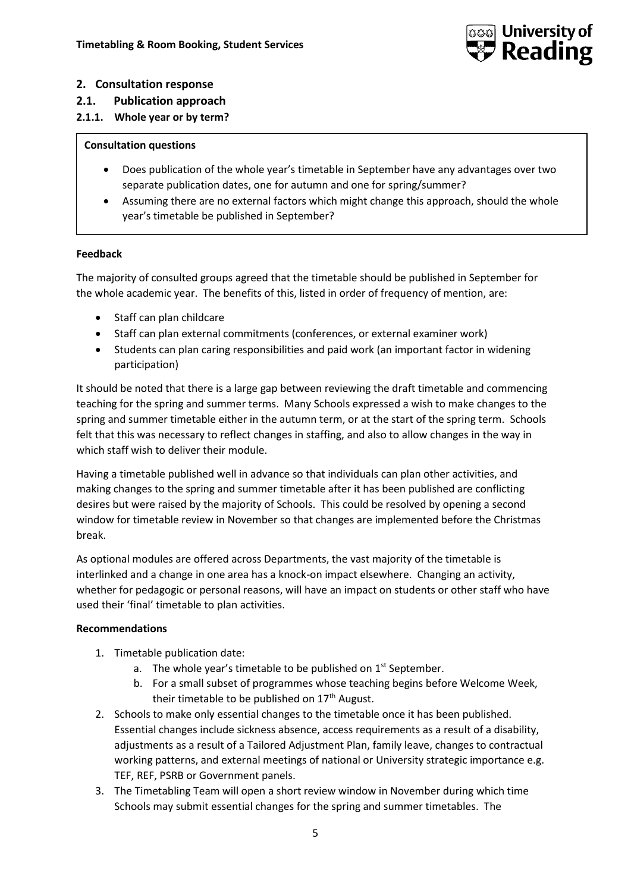

## **2. Consultation response**

- **2.1. Publication approach**
- **2.1.1. Whole year or by term?**

#### **Consultation questions**

- Does publication of the whole year's timetable in September have any advantages over two separate publication dates, one for autumn and one for spring/summer?
- Assuming there are no external factors which might change this approach, should the whole year's timetable be published in September?

## **Feedback**

The majority of consulted groups agreed that the timetable should be published in September for the whole academic year. The benefits of this, listed in order of frequency of mention, are:

- Staff can plan childcare
- Staff can plan external commitments (conferences, or external examiner work)
- Students can plan caring responsibilities and paid work (an important factor in widening participation)

It should be noted that there is a large gap between reviewing the draft timetable and commencing teaching for the spring and summer terms. Many Schools expressed a wish to make changes to the spring and summer timetable either in the autumn term, or at the start of the spring term. Schools felt that this was necessary to reflect changes in staffing, and also to allow changes in the way in which staff wish to deliver their module.

Having a timetable published well in advance so that individuals can plan other activities, and making changes to the spring and summer timetable after it has been published are conflicting desires but were raised by the majority of Schools. This could be resolved by opening a second window for timetable review in November so that changes are implemented before the Christmas break.

As optional modules are offered across Departments, the vast majority of the timetable is interlinked and a change in one area has a knock-on impact elsewhere. Changing an activity, whether for pedagogic or personal reasons, will have an impact on students or other staff who have used their 'final' timetable to plan activities.

#### **Recommendations**

- 1. Timetable publication date:
	- a. The whole year's timetable to be published on  $1<sup>st</sup>$  September.
	- b. For a small subset of programmes whose teaching begins before Welcome Week, their timetable to be published on  $17<sup>th</sup>$  August.
- 2. Schools to make only essential changes to the timetable once it has been published. Essential changes include sickness absence, access requirements as a result of a disability, adjustments as a result of a Tailored Adjustment Plan, family leave, changes to contractual working patterns, and external meetings of national or University strategic importance e.g. TEF, REF, PSRB or Government panels.
- 3. The Timetabling Team will open a short review window in November during which time Schools may submit essential changes for the spring and summer timetables. The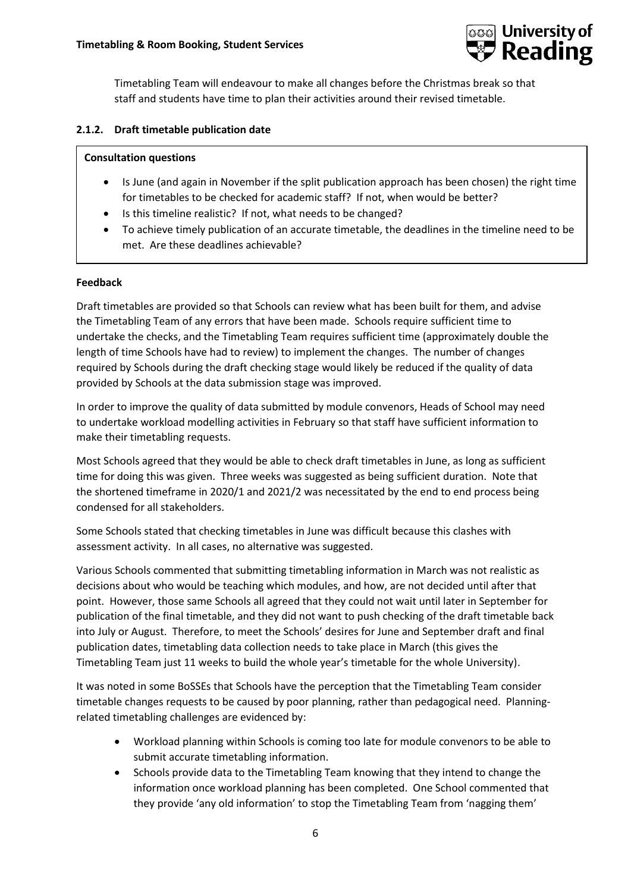

Timetabling Team will endeavour to make all changes before the Christmas break so that staff and students have time to plan their activities around their revised timetable.

## **2.1.2. Draft timetable publication date**

#### **Consultation questions**

- Is June (and again in November if the split publication approach has been chosen) the right time for timetables to be checked for academic staff? If not, when would be better?
- Is this timeline realistic? If not, what needs to be changed?
- To achieve timely publication of an accurate timetable, the deadlines in the timeline need to be met. Are these deadlines achievable?

## **Feedback**

Draft timetables are provided so that Schools can review what has been built for them, and advise the Timetabling Team of any errors that have been made. Schools require sufficient time to undertake the checks, and the Timetabling Team requires sufficient time (approximately double the length of time Schools have had to review) to implement the changes. The number of changes required by Schools during the draft checking stage would likely be reduced if the quality of data provided by Schools at the data submission stage was improved.

In order to improve the quality of data submitted by module convenors, Heads of School may need to undertake workload modelling activities in February so that staff have sufficient information to make their timetabling requests.

Most Schools agreed that they would be able to check draft timetables in June, as long as sufficient time for doing this was given. Three weeks was suggested as being sufficient duration. Note that the shortened timeframe in 2020/1 and 2021/2 was necessitated by the end to end process being condensed for all stakeholders.

Some Schools stated that checking timetables in June was difficult because this clashes with assessment activity. In all cases, no alternative was suggested.

Various Schools commented that submitting timetabling information in March was not realistic as decisions about who would be teaching which modules, and how, are not decided until after that point. However, those same Schools all agreed that they could not wait until later in September for publication of the final timetable, and they did not want to push checking of the draft timetable back into July or August. Therefore, to meet the Schools' desires for June and September draft and final publication dates, timetabling data collection needs to take place in March (this gives the Timetabling Team just 11 weeks to build the whole year's timetable for the whole University).

It was noted in some BoSSEs that Schools have the perception that the Timetabling Team consider timetable changes requests to be caused by poor planning, rather than pedagogical need. Planningrelated timetabling challenges are evidenced by:

- Workload planning within Schools is coming too late for module convenors to be able to submit accurate timetabling information.
- Schools provide data to the Timetabling Team knowing that they intend to change the information once workload planning has been completed. One School commented that they provide 'any old information' to stop the Timetabling Team from 'nagging them'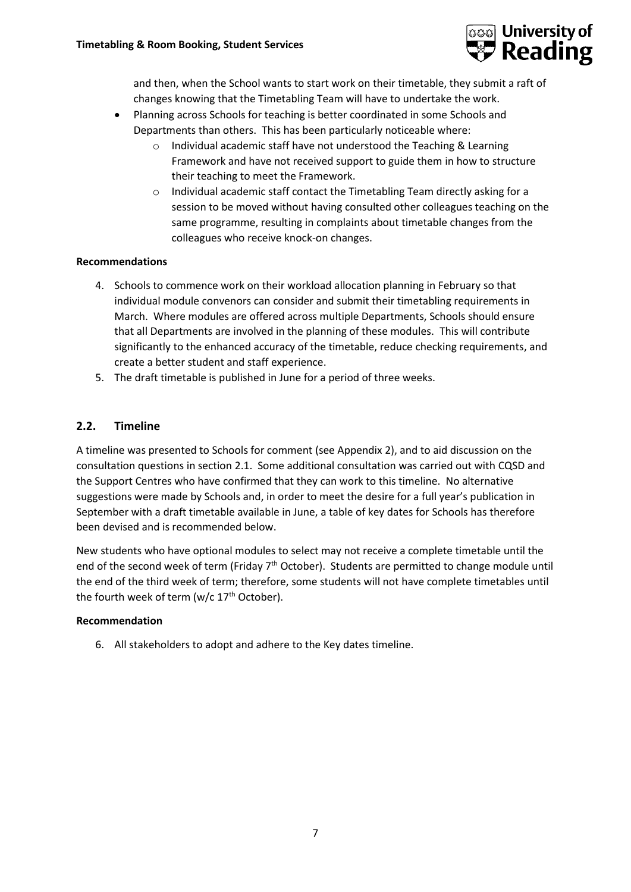

and then, when the School wants to start work on their timetable, they submit a raft of changes knowing that the Timetabling Team will have to undertake the work.

- Planning across Schools for teaching is better coordinated in some Schools and Departments than others. This has been particularly noticeable where:
	- o Individual academic staff have not understood the Teaching & Learning Framework and have not received support to guide them in how to structure their teaching to meet the Framework.
	- $\circ$  Individual academic staff contact the Timetabling Team directly asking for a session to be moved without having consulted other colleagues teaching on the same programme, resulting in complaints about timetable changes from the colleagues who receive knock-on changes.

#### **Recommendations**

- 4. Schools to commence work on their workload allocation planning in February so that individual module convenors can consider and submit their timetabling requirements in March. Where modules are offered across multiple Departments, Schools should ensure that all Departments are involved in the planning of these modules. This will contribute significantly to the enhanced accuracy of the timetable, reduce checking requirements, and create a better student and staff experience.
- 5. The draft timetable is published in June for a period of three weeks.

## **2.2. Timeline**

A timeline was presented to Schools for comment (see Appendix 2), and to aid discussion on the consultation questions in section 2.1. Some additional consultation was carried out with CQSD and the Support Centres who have confirmed that they can work to this timeline. No alternative suggestions were made by Schools and, in order to meet the desire for a full year's publication in September with a draft timetable available in June, a table of key dates for Schools has therefore been devised and is recommended below.

New students who have optional modules to select may not receive a complete timetable until the end of the second week of term (Friday 7<sup>th</sup> October). Students are permitted to change module until the end of the third week of term; therefore, some students will not have complete timetables until the fourth week of term (w/c 17<sup>th</sup> October).

#### **Recommendation**

6. All stakeholders to adopt and adhere to the Key dates timeline.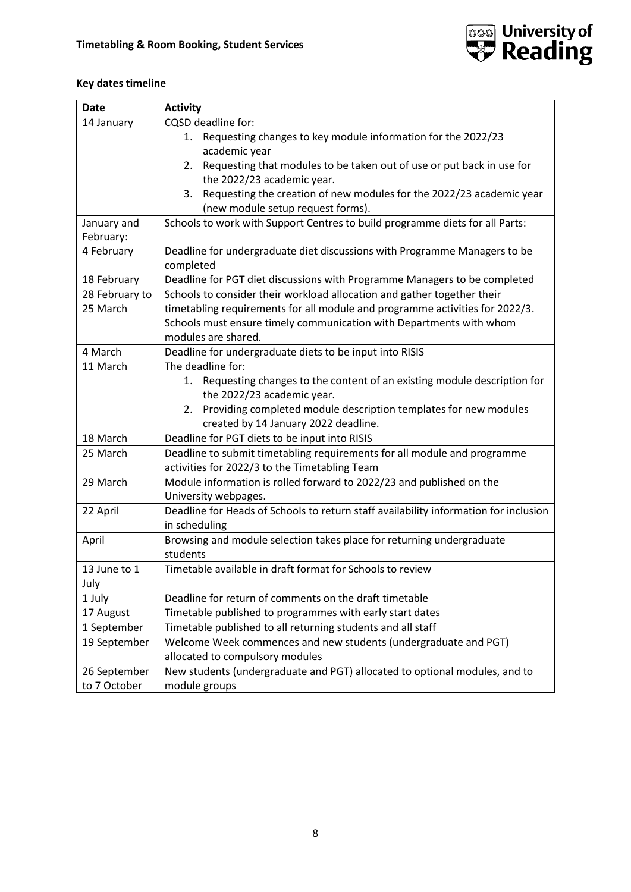

## **Key dates timeline**

| <b>Date</b>    | <b>Activity</b>                                                                      |
|----------------|--------------------------------------------------------------------------------------|
| 14 January     | CQSD deadline for:                                                                   |
|                | Requesting changes to key module information for the 2022/23<br>1.                   |
|                | academic year                                                                        |
|                | Requesting that modules to be taken out of use or put back in use for<br>2.          |
|                | the 2022/23 academic year.                                                           |
|                | Requesting the creation of new modules for the 2022/23 academic year<br>3.           |
|                | (new module setup request forms).                                                    |
| January and    | Schools to work with Support Centres to build programme diets for all Parts:         |
| February:      |                                                                                      |
| 4 February     | Deadline for undergraduate diet discussions with Programme Managers to be            |
|                | completed                                                                            |
| 18 February    | Deadline for PGT diet discussions with Programme Managers to be completed            |
| 28 February to | Schools to consider their workload allocation and gather together their              |
| 25 March       | timetabling requirements for all module and programme activities for 2022/3.         |
|                | Schools must ensure timely communication with Departments with whom                  |
|                | modules are shared.                                                                  |
| 4 March        | Deadline for undergraduate diets to be input into RISIS                              |
| 11 March       | The deadline for:                                                                    |
|                | 1. Requesting changes to the content of an existing module description for           |
|                | the 2022/23 academic year.                                                           |
|                | 2. Providing completed module description templates for new modules                  |
|                | created by 14 January 2022 deadline.                                                 |
| 18 March       | Deadline for PGT diets to be input into RISIS                                        |
| 25 March       | Deadline to submit timetabling requirements for all module and programme             |
|                | activities for 2022/3 to the Timetabling Team                                        |
| 29 March       | Module information is rolled forward to 2022/23 and published on the                 |
|                | University webpages.                                                                 |
| 22 April       | Deadline for Heads of Schools to return staff availability information for inclusion |
|                | in scheduling                                                                        |
| April          | Browsing and module selection takes place for returning undergraduate                |
|                | students                                                                             |
| 13 June to 1   | Timetable available in draft format for Schools to review                            |
| July           |                                                                                      |
| 1 July         | Deadline for return of comments on the draft timetable                               |
| 17 August      | Timetable published to programmes with early start dates                             |
| 1 September    | Timetable published to all returning students and all staff                          |
| 19 September   | Welcome Week commences and new students (undergraduate and PGT)                      |
|                | allocated to compulsory modules                                                      |
| 26 September   | New students (undergraduate and PGT) allocated to optional modules, and to           |
| to 7 October   | module groups                                                                        |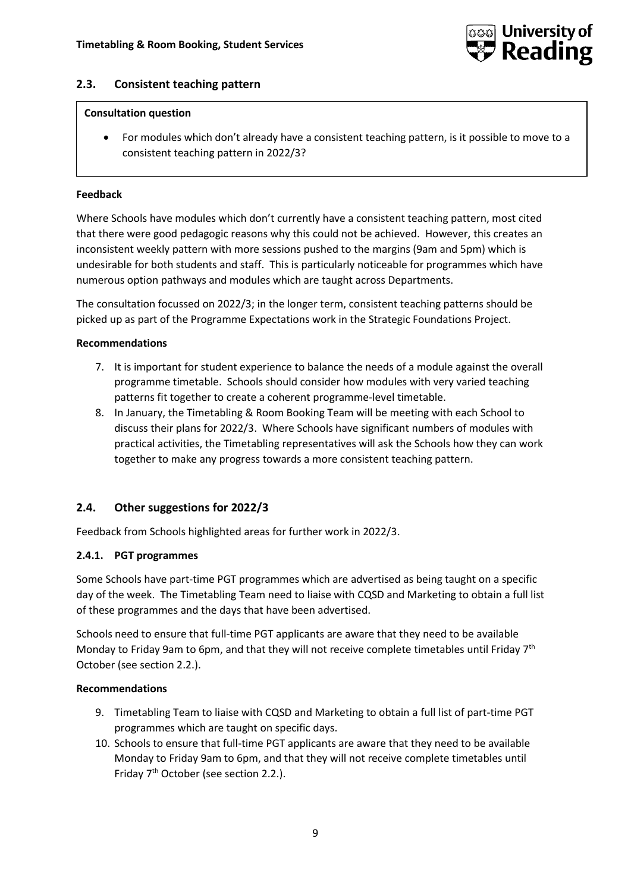

#### **2.3. Consistent teaching pattern**

#### **Consultation question**

• For modules which don't already have a consistent teaching pattern, is it possible to move to a consistent teaching pattern in 2022/3?

#### **Feedback**

Where Schools have modules which don't currently have a consistent teaching pattern, most cited that there were good pedagogic reasons why this could not be achieved. However, this creates an inconsistent weekly pattern with more sessions pushed to the margins (9am and 5pm) which is undesirable for both students and staff. This is particularly noticeable for programmes which have numerous option pathways and modules which are taught across Departments.

The consultation focussed on 2022/3; in the longer term, consistent teaching patterns should be picked up as part of the Programme Expectations work in the Strategic Foundations Project.

#### **Recommendations**

- 7. It is important for student experience to balance the needs of a module against the overall programme timetable. Schools should consider how modules with very varied teaching patterns fit together to create a coherent programme-level timetable.
- 8. In January, the Timetabling & Room Booking Team will be meeting with each School to discuss their plans for 2022/3. Where Schools have significant numbers of modules with practical activities, the Timetabling representatives will ask the Schools how they can work together to make any progress towards a more consistent teaching pattern.

#### **2.4. Other suggestions for 2022/3**

Feedback from Schools highlighted areas for further work in 2022/3.

#### **2.4.1. PGT programmes**

Some Schools have part-time PGT programmes which are advertised as being taught on a specific day of the week. The Timetabling Team need to liaise with CQSD and Marketing to obtain a full list of these programmes and the days that have been advertised.

Schools need to ensure that full-time PGT applicants are aware that they need to be available Monday to Friday 9am to 6pm, and that they will not receive complete timetables until Friday  $7<sup>th</sup>$ October (see section 2.2.).

#### **Recommendations**

- 9. Timetabling Team to liaise with CQSD and Marketing to obtain a full list of part-time PGT programmes which are taught on specific days.
- 10. Schools to ensure that full-time PGT applicants are aware that they need to be available Monday to Friday 9am to 6pm, and that they will not receive complete timetables until Friday 7<sup>th</sup> October (see section 2.2.).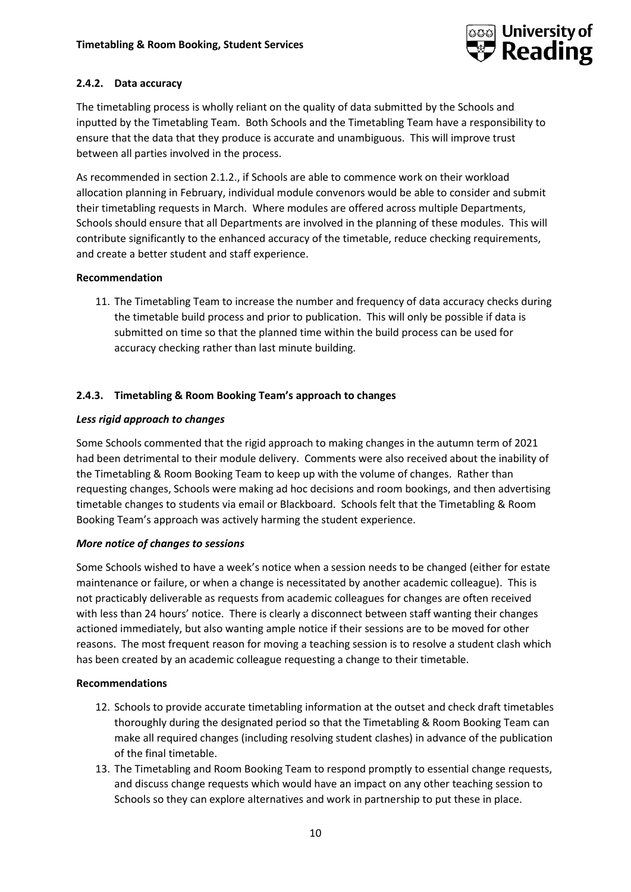

## **2.4.2. Data accuracy**

The timetabling process is wholly reliant on the quality of data submitted by the Schools and inputted by the Timetabling Team. Both Schools and the Timetabling Team have a responsibility to ensure that the data that they produce is accurate and unambiguous. This will improve trust between all parties involved in the process.

As recommended in section 2.1.2., if Schools are able to commence work on their workload allocation planning in February, individual module convenors would be able to consider and submit their timetabling requests in March. Where modules are offered across multiple Departments, Schools should ensure that all Departments are involved in the planning of these modules. This will contribute significantly to the enhanced accuracy of the timetable, reduce checking requirements, and create a better student and staff experience.

#### **Recommendation**

11. The Timetabling Team to increase the number and frequency of data accuracy checks during the timetable build process and prior to publication. This will only be possible if data is submitted on time so that the planned time within the build process can be used for accuracy checking rather than last minute building.

## **2.4.3. Timetabling & Room Booking Team's approach to changes**

#### *Less rigid approach to changes*

Some Schools commented that the rigid approach to making changes in the autumn term of 2021 had been detrimental to their module delivery. Comments were also received about the inability of the Timetabling & Room Booking Team to keep up with the volume of changes. Rather than requesting changes, Schools were making ad hoc decisions and room bookings, and then advertising timetable changes to students via email or Blackboard. Schools felt that the Timetabling & Room Booking Team's approach was actively harming the student experience.

#### *More notice of changes to sessions*

Some Schools wished to have a week's notice when a session needs to be changed (either for estate maintenance or failure, or when a change is necessitated by another academic colleague). This is not practicably deliverable as requests from academic colleagues for changes are often received with less than 24 hours' notice. There is clearly a disconnect between staff wanting their changes actioned immediately, but also wanting ample notice if their sessions are to be moved for other reasons. The most frequent reason for moving a teaching session is to resolve a student clash which has been created by an academic colleague requesting a change to their timetable.

#### **Recommendations**

- 12. Schools to provide accurate timetabling information at the outset and check draft timetables thoroughly during the designated period so that the Timetabling & Room Booking Team can make all required changes (including resolving student clashes) in advance of the publication of the final timetable.
- 13. The Timetabling and Room Booking Team to respond promptly to essential change requests, and discuss change requests which would have an impact on any other teaching session to Schools so they can explore alternatives and work in partnership to put these in place.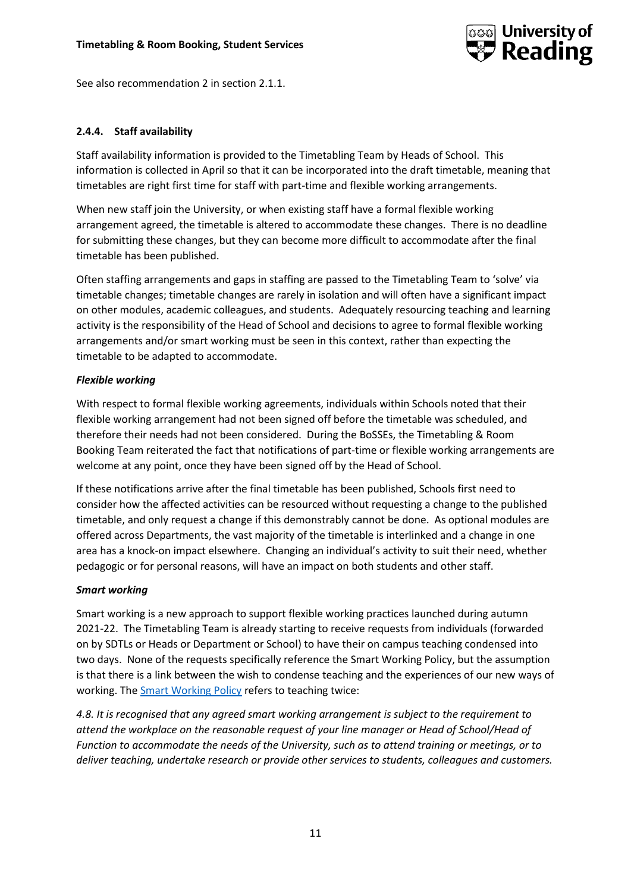

See also recommendation 2 in section 2.1.1.

#### **2.4.4. Staff availability**

Staff availability information is provided to the Timetabling Team by Heads of School. This information is collected in April so that it can be incorporated into the draft timetable, meaning that timetables are right first time for staff with part-time and flexible working arrangements.

When new staff join the University, or when existing staff have a formal flexible working arrangement agreed, the timetable is altered to accommodate these changes. There is no deadline for submitting these changes, but they can become more difficult to accommodate after the final timetable has been published.

Often staffing arrangements and gaps in staffing are passed to the Timetabling Team to 'solve' via timetable changes; timetable changes are rarely in isolation and will often have a significant impact on other modules, academic colleagues, and students. Adequately resourcing teaching and learning activity is the responsibility of the Head of School and decisions to agree to formal flexible working arrangements and/or smart working must be seen in this context, rather than expecting the timetable to be adapted to accommodate.

#### *Flexible working*

With respect to formal flexible working agreements, individuals within Schools noted that their flexible working arrangement had not been signed off before the timetable was scheduled, and therefore their needs had not been considered. During the BoSSEs, the Timetabling & Room Booking Team reiterated the fact that notifications of part-time or flexible working arrangements are welcome at any point, once they have been signed off by the Head of School.

If these notifications arrive after the final timetable has been published, Schools first need to consider how the affected activities can be resourced without requesting a change to the published timetable, and only request a change if this demonstrably cannot be done. As optional modules are offered across Departments, the vast majority of the timetable is interlinked and a change in one area has a knock-on impact elsewhere. Changing an individual's activity to suit their need, whether pedagogic or for personal reasons, will have an impact on both students and other staff.

## *Smart working*

Smart working is a new approach to support flexible working practices launched during autumn 2021-22. The Timetabling Team is already starting to receive requests from individuals (forwarded on by SDTLs or Heads or Department or School) to have their on campus teaching condensed into two days. None of the requests specifically reference the Smart Working Policy, but the assumption is that there is a link between the wish to condense teaching and the experiences of our new ways of working. The [Smart Working Policy](https://www.reading.ac.uk/human-resources/-/media/project/functions/human-resources/documents/smart-working-policy-final.pdf?la=en&hash=635A523012606B40EA87CCADB9B38EF4) refers to teaching twice:

*4.8. It is recognised that any agreed smart working arrangement is subject to the requirement to attend the workplace on the reasonable request of your line manager or Head of School/Head of Function to accommodate the needs of the University, such as to attend training or meetings, or to deliver teaching, undertake research or provide other services to students, colleagues and customers.*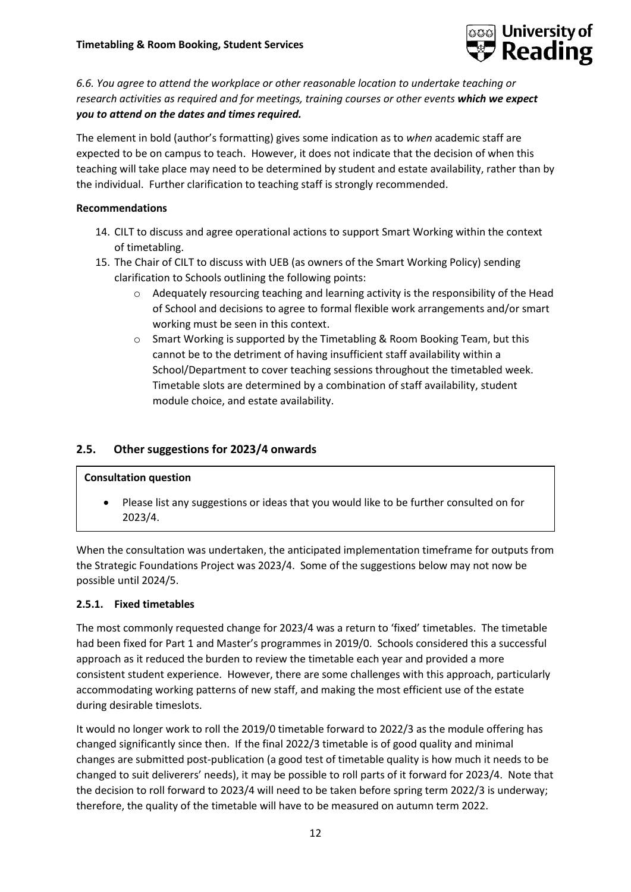

*6.6. You agree to attend the workplace or other reasonable location to undertake teaching or research activities as required and for meetings, training courses or other events which we expect you to attend on the dates and times required.*

The element in bold (author's formatting) gives some indication as to *when* academic staff are expected to be on campus to teach. However, it does not indicate that the decision of when this teaching will take place may need to be determined by student and estate availability, rather than by the individual. Further clarification to teaching staff is strongly recommended.

#### **Recommendations**

- 14. CILT to discuss and agree operational actions to support Smart Working within the context of timetabling.
- 15. The Chair of CILT to discuss with UEB (as owners of the Smart Working Policy) sending clarification to Schools outlining the following points:
	- $\circ$  Adequately resourcing teaching and learning activity is the responsibility of the Head of School and decisions to agree to formal flexible work arrangements and/or smart working must be seen in this context.
	- o Smart Working is supported by the Timetabling & Room Booking Team, but this cannot be to the detriment of having insufficient staff availability within a School/Department to cover teaching sessions throughout the timetabled week. Timetable slots are determined by a combination of staff availability, student module choice, and estate availability.

## **2.5. Other suggestions for 2023/4 onwards**

#### **Consultation question**

• Please list any suggestions or ideas that you would like to be further consulted on for 2023/4.

When the consultation was undertaken, the anticipated implementation timeframe for outputs from the Strategic Foundations Project was 2023/4. Some of the suggestions below may not now be possible until 2024/5.

#### **2.5.1. Fixed timetables**

The most commonly requested change for 2023/4 was a return to 'fixed' timetables. The timetable had been fixed for Part 1 and Master's programmes in 2019/0. Schools considered this a successful approach as it reduced the burden to review the timetable each year and provided a more consistent student experience. However, there are some challenges with this approach, particularly accommodating working patterns of new staff, and making the most efficient use of the estate during desirable timeslots.

It would no longer work to roll the 2019/0 timetable forward to 2022/3 as the module offering has changed significantly since then. If the final 2022/3 timetable is of good quality and minimal changes are submitted post-publication (a good test of timetable quality is how much it needs to be changed to suit deliverers' needs), it may be possible to roll parts of it forward for 2023/4. Note that the decision to roll forward to 2023/4 will need to be taken before spring term 2022/3 is underway; therefore, the quality of the timetable will have to be measured on autumn term 2022.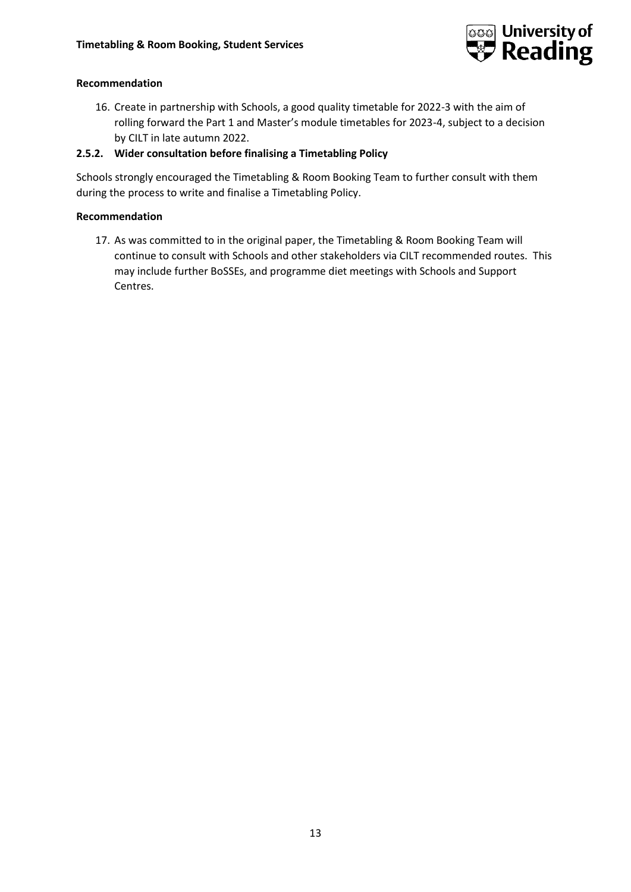

## **Recommendation**

16. Create in partnership with Schools, a good quality timetable for 2022-3 with the aim of rolling forward the Part 1 and Master's module timetables for 2023-4, subject to a decision by CILT in late autumn 2022.

## **2.5.2. Wider consultation before finalising a Timetabling Policy**

Schools strongly encouraged the Timetabling & Room Booking Team to further consult with them during the process to write and finalise a Timetabling Policy.

## **Recommendation**

17. As was committed to in the original paper, the Timetabling & Room Booking Team will continue to consult with Schools and other stakeholders via CILT recommended routes. This may include further BoSSEs, and programme diet meetings with Schools and Support Centres.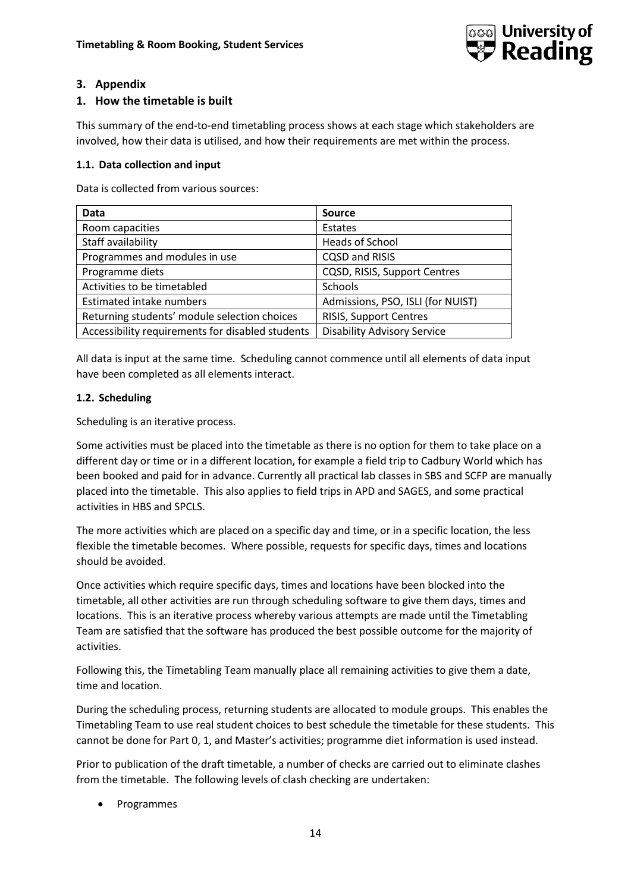

## **3. Appendix**

## **1. How the timetable is built**

This summary of the end-to-end timetabling process shows at each stage which stakeholders are involved, how their data is utilised, and how their requirements are met within the process.

#### **1.1. Data collection and input**

Data is collected from various sources:

| <b>Data</b>                                      | <b>Source</b>                      |  |
|--------------------------------------------------|------------------------------------|--|
| Room capacities                                  | Estates                            |  |
| Staff availability                               | Heads of School                    |  |
| Programmes and modules in use                    | CQSD and RISIS                     |  |
| Programme diets                                  | CQSD, RISIS, Support Centres       |  |
| Activities to be timetabled                      | Schools                            |  |
| <b>Estimated intake numbers</b>                  | Admissions, PSO, ISLI (for NUIST)  |  |
| Returning students' module selection choices     | RISIS, Support Centres             |  |
| Accessibility requirements for disabled students | <b>Disability Advisory Service</b> |  |

All data is input at the same time. Scheduling cannot commence until all elements of data input have been completed as all elements interact.

#### **1.2. Scheduling**

Scheduling is an iterative process.

Some activities must be placed into the timetable as there is no option for them to take place on a different day or time or in a different location, for example a field trip to Cadbury World which has been booked and paid for in advance. Currently all practical lab classes in SBS and SCFP are manually placed into the timetable. This also applies to field trips in APD and SAGES, and some practical activities in HBS and SPCLS.

The more activities which are placed on a specific day and time, or in a specific location, the less flexible the timetable becomes. Where possible, requests for specific days, times and locations should be avoided.

Once activities which require specific days, times and locations have been blocked into the timetable, all other activities are run through scheduling software to give them days, times and locations. This is an iterative process whereby various attempts are made until the Timetabling Team are satisfied that the software has produced the best possible outcome for the majority of activities.

Following this, the Timetabling Team manually place all remaining activities to give them a date, time and location.

During the scheduling process, returning students are allocated to module groups. This enables the Timetabling Team to use real student choices to best schedule the timetable for these students. This cannot be done for Part 0, 1, and Master's activities; programme diet information is used instead.

Prior to publication of the draft timetable, a number of checks are carried out to eliminate clashes from the timetable. The following levels of clash checking are undertaken:

**Programmes**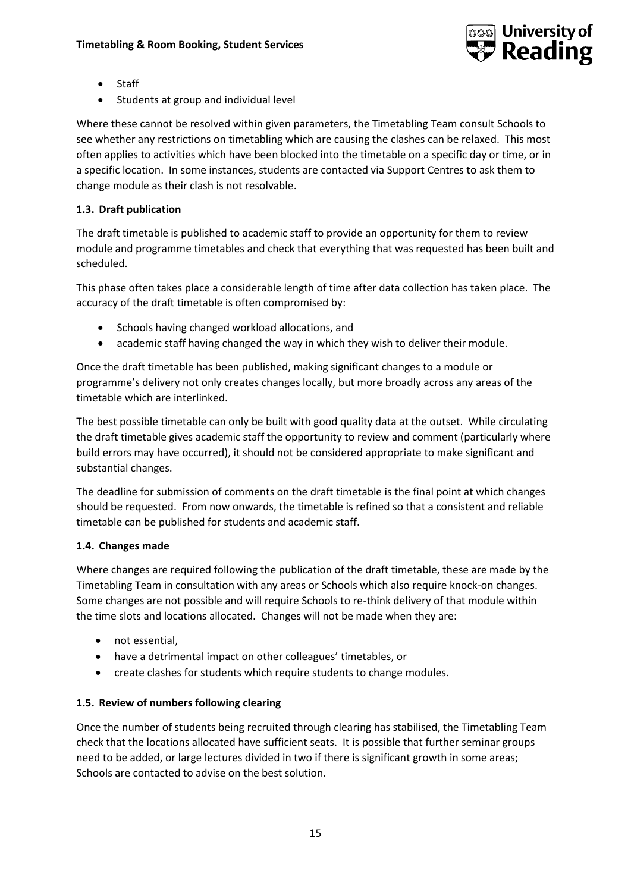

- **Staff**
- Students at group and individual level

Where these cannot be resolved within given parameters, the Timetabling Team consult Schools to see whether any restrictions on timetabling which are causing the clashes can be relaxed. This most often applies to activities which have been blocked into the timetable on a specific day or time, or in a specific location. In some instances, students are contacted via Support Centres to ask them to change module as their clash is not resolvable.

## **1.3. Draft publication**

The draft timetable is published to academic staff to provide an opportunity for them to review module and programme timetables and check that everything that was requested has been built and scheduled.

This phase often takes place a considerable length of time after data collection has taken place. The accuracy of the draft timetable is often compromised by:

- Schools having changed workload allocations, and
- academic staff having changed the way in which they wish to deliver their module.

Once the draft timetable has been published, making significant changes to a module or programme's delivery not only creates changes locally, but more broadly across any areas of the timetable which are interlinked.

The best possible timetable can only be built with good quality data at the outset. While circulating the draft timetable gives academic staff the opportunity to review and comment (particularly where build errors may have occurred), it should not be considered appropriate to make significant and substantial changes.

The deadline for submission of comments on the draft timetable is the final point at which changes should be requested. From now onwards, the timetable is refined so that a consistent and reliable timetable can be published for students and academic staff.

#### **1.4. Changes made**

Where changes are required following the publication of the draft timetable, these are made by the Timetabling Team in consultation with any areas or Schools which also require knock-on changes. Some changes are not possible and will require Schools to re-think delivery of that module within the time slots and locations allocated. Changes will not be made when they are:

- not essential,
- have a detrimental impact on other colleagues' timetables, or
- create clashes for students which require students to change modules.

#### **1.5. Review of numbers following clearing**

Once the number of students being recruited through clearing has stabilised, the Timetabling Team check that the locations allocated have sufficient seats. It is possible that further seminar groups need to be added, or large lectures divided in two if there is significant growth in some areas; Schools are contacted to advise on the best solution.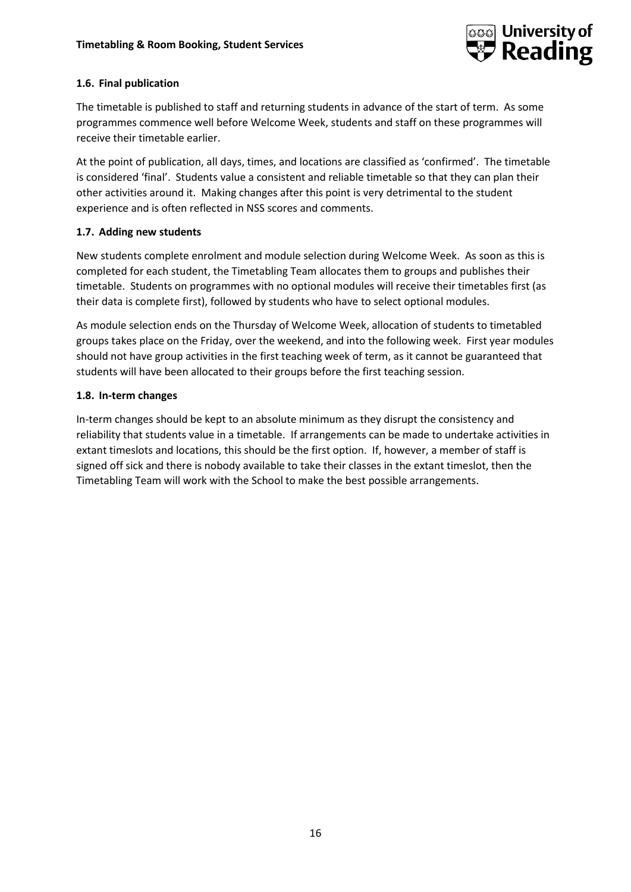

## **1.6. Final publication**

The timetable is published to staff and returning students in advance of the start of term. As some programmes commence well before Welcome Week, students and staff on these programmes will receive their timetable earlier.

At the point of publication, all days, times, and locations are classified as 'confirmed'. The timetable is considered 'final'. Students value a consistent and reliable timetable so that they can plan their other activities around it. Making changes after this point is very detrimental to the student experience and is often reflected in NSS scores and comments.

## **1.7. Adding new students**

New students complete enrolment and module selection during Welcome Week. As soon as this is completed for each student, the Timetabling Team allocates them to groups and publishes their timetable. Students on programmes with no optional modules will receive their timetables first (as their data is complete first), followed by students who have to select optional modules.

As module selection ends on the Thursday of Welcome Week, allocation of students to timetabled groups takes place on the Friday, over the weekend, and into the following week. First year modules should not have group activities in the first teaching week of term, as it cannot be guaranteed that students will have been allocated to their groups before the first teaching session.

## **1.8. In-term changes**

In-term changes should be kept to an absolute minimum as they disrupt the consistency and reliability that students value in a timetable. If arrangements can be made to undertake activities in extant timeslots and locations, this should be the first option. If, however, a member of staff is signed off sick and there is nobody available to take their classes in the extant timeslot, then the Timetabling Team will work with the School to make the best possible arrangements.